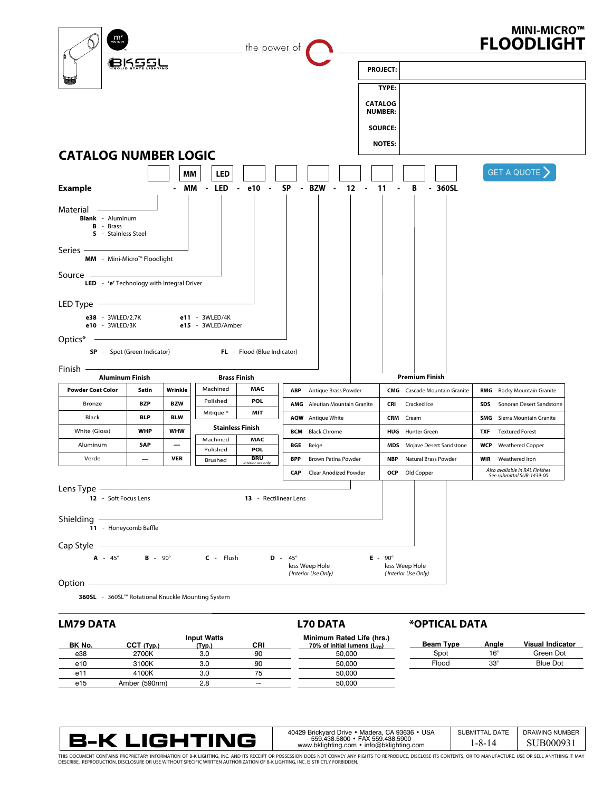

# **LM79 DATA**

#### **BK No. CCT (Typ.) Input Watts (Typ.) CRI** e38 2700K 3.0 e10 3100K 3.0 90 e11 4100K 3.0 75 e15 Amber (590nm) 2.8 ~ **Beam Type Angle Visual Indicator** Spot 16° Green Dot Flood 33° Blue Dot **Minimum Rated Life (hrs.) 70% of initial lumens (L70)** 50,000 50,000 50,000 50,000

**L70 DATA**



| 40429 Brickvard Drive • Madera, CA 93636 • USA                              | SUBMITTAL DATE | DRAWING NUMBER |
|-----------------------------------------------------------------------------|----------------|----------------|
| 559.438.5800 · FAX 559.438.5900<br>www.bklighting.com • info@bklighting.com | 1-8-14         | SUB000931      |

**\*OPTICAL DATA**

THIS DOCUMENT CONTAINS PROPRIETARY INFORMATION OF B-K LIGHTING, INC. AND ITS RECEIPT OR POSSESSION DOES NOT CONVEY ANY RIGHTS TO REPRODUCE, DISCLOSE ITS CONTENTS, OR TO MANUFACTURE, USE OR SELL ANYTHING IT MAY<br>DESCRIBE. RE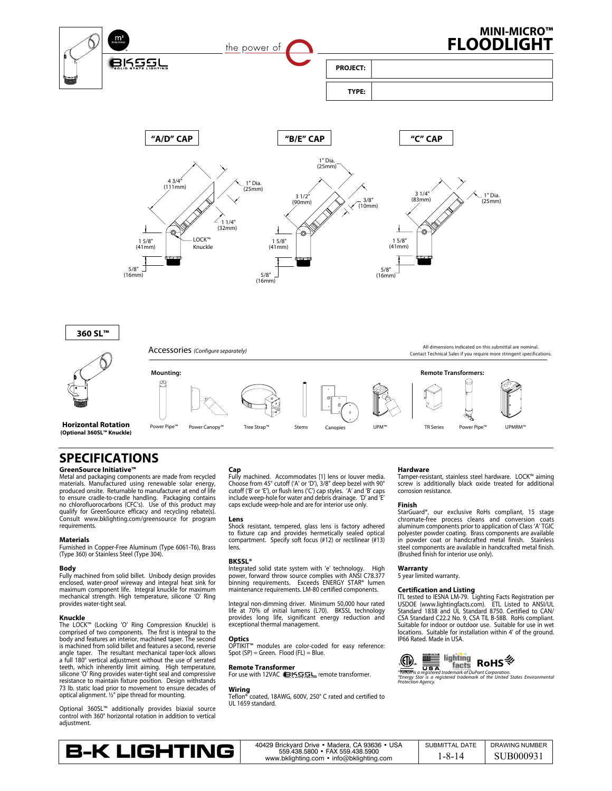

# **SPECIFICATIONS**

**GreenSource Initiative™ Options:** 

Metal and packaging components are made from recycled materials. Manufactured using renewable solar energy, produced onsite. Returnable to manufacturer at end of life to ensure cradle-to-cradle handling. Packaging contains no chlorofluorocarbons (CFC's). Use of this product may qualify for GreenSource efficacy and recycling rebate(s). Consult www.bklighting.com/greensource for program requirements.

#### **Materials**

Furnished in Copper-Free Aluminum (Type 6061-T6), Brass (Type 360) or Stainless Steel (Type 304).

### **Body**

Fully machined from solid billet. Unibody design provides<br>enclosed, water-proof wireway and integral heat sink for<br>maximum component life. Integral knuckle for maximum<br>mechanical strength. High temperature, silicone 'O' Ri provides water-tight seal.

#### **Knuckle**

The LOCK™ (Locking 'O' Ring Compression Knuckle) is comprised of two components. The first is integral to the body and features an interior, machined taper. The second is machined from solid billet and features a second, reverse angle taper. The resultant mechanical taper-lock allows a full 180° vertical adjustment without the use of serrated teeth, which inherently limit aiming. High temperature, silicone 'O' Ring provides water-tight seal and compressive resistance to maintain fixture position. Design withstands 73 lb. static load prior to movement to ensure decades of optical alignment. ½" pipe thread for mounting.

Optional 360SL™ additionally provides biaxial source control with 360° horizontal rotation in addition to vertical adjustment.

## **Cap**

Fully machined. Accommodates [1] lens or louver media. Choose from 45° cutoff ('A' or 'D'), 3/8" deep bezel with 90° cutoff ('B' or 'E'), or flush lens ('C') cap styles. 'A' and 'B' caps include weep-hole for water and debris drainage. 'D' and 'E' caps exclude weep-hole and are for interior use only.

#### **Lens**

Shock resistant, tempered, glass lens is factory adhered to fixture cap and provides hermetically sealed optical compartment. Specify soft focus (#12) or rectilinear (#13) lens.

#### **BKSSL®**

Integrated solid state system with 'e' technology. High power, forward throw source complies with ANSI C78.377 binning requirements. Exceeds ENERGY STAR® lumen maintenance requirements. LM-80 certified components.

Integral non-dimming driver. Minimum 50,000 hour rated life at 70% of initial lumens (L70). BKSSL technology provides long life, significant energy reduction and exceptional thermal management.

#### **Optics**

OPTIKIT™ modules are color-coded for easy reference: Spot (SP) = Green. Flood (FL) = Blue.

#### **Remote Transformer**

For use with 12VAC remote transformer.

**Wiring** Teflon® coated, 18AWG, 600V, 250° C rated and certified to UL 1659 standard.

#### **Hardware Mounting options: Remote options:**

Tamper-resistant, stainless steel hardware. LOCK™ aiming screw is additionally black oxide treated for additional corrosion resistance.

#### **Finish**

**Finisn**<br>StarGuard®, our exclusive RoHs compliant, 15 stage m/greensource for program the tenst the series of the series of the conversion coats and conversion coats the series  $\rho$ aluminum components prior to application of Class 'A' TGIC polyester powder coating. Brass components are available in powder coat or handcrafted metal finish. Stainless steel components are available in handcrafted metal finish. (Brushed finish for interior use only).

#### **Warranty**

5 year limited warranty.

#### **Certification and Listing**

ITL tested to IESNA LM-79. Lighting Facts Registration per USDOE (www.lightingfacts.com). ETL Listed to ANSI/UL Standard 1838 and UL Standard 8750. Certified to CAN/ CSA Standard C22.2 No. 9, CSA TIL B-58B. RoHs compliant. Suitable for indoor or outdoor use. Suitable for use in wet locations. Suitable for installation within 4' of the ground. IP66 Rated. Made in USA.



*®Teflon is a registered trademark of DuPont Corporation. ®Energy Star is a registered trademark of the United States Environmental Protection Agency.*